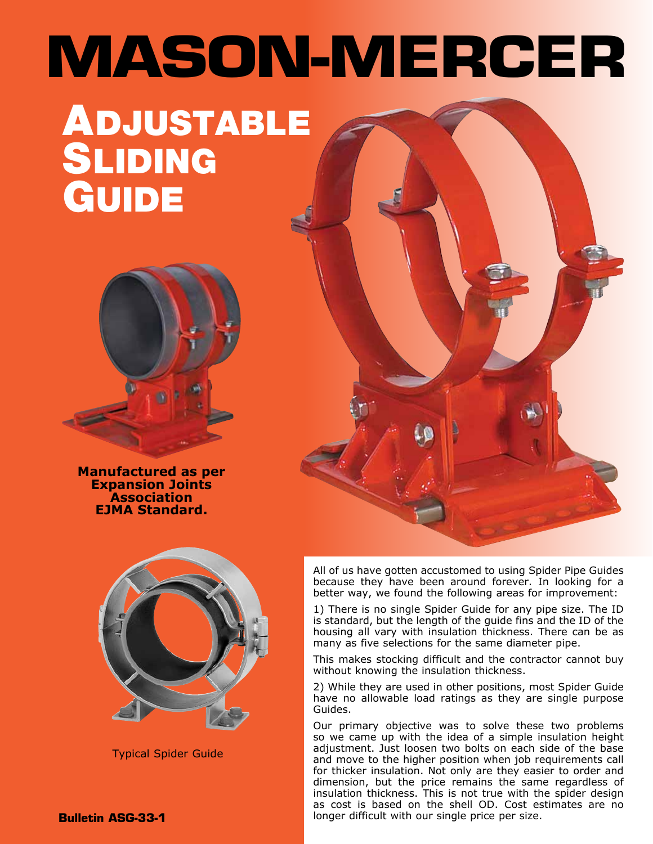# **MASON-MERCER**

# ADJUSTABLE **SLIDING** GUIDE



**Manufactured as per Expansion Joints Association EJMA Standard.**



Typical Spider Guide

All of us have gotten accustomed to using Spider Pipe Guides because they have been around forever. In looking for a better way, we found the following areas for improvement:

1) There is no single Spider Guide for any pipe size. The ID is standard, but the length of the guide fins and the ID of the housing all vary with insulation thickness. There can be as many as five selections for the same diameter pipe.

This makes stocking difficult and the contractor cannot buy without knowing the insulation thickness.

2) While they are used in other positions, most Spider Guide have no allowable load ratings as they are single purpose Guides.

Our primary objective was to solve these two problems so we came up with the idea of a simple insulation height adjustment. Just loosen two bolts on each side of the base and move to the higher position when job requirements call for thicker insulation. Not only are they easier to order and dimension, but the price remains the same regardless of insulation thickness. This is not true with the spider design as cost is based on the shell OD. Cost estimates are no longer difficult with our single price per size.

**Bulletin ASG-33-1**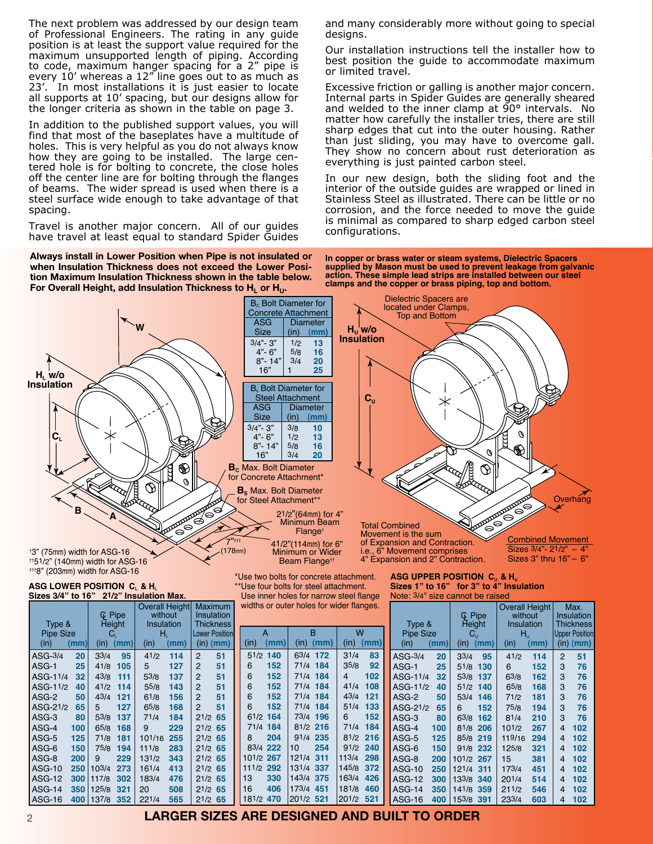The next problem was addressed by our design team of Professional Engineers. The rating in any guide position is at least the support value required for the maximum unsupported length of piping. According to code, maximum hanger spacing for a 2" pipe is every 10' whereas a 12" line goes out to as much as 23'. In most installations it is just easier to locate all supports at 10' spacing, but our designs allow for the longer criteria as shown in the table on page 3.

In addition to the published support values, you will find that most of the baseplates have a multitude of holes. This is very helpful as you do not always know how they are going to be installed. The large centered hole is for bolting to concrete, the close holes off the center line are for bolting through the flanges of beams. The wider spread is used when there is a steel surface wide enough to take advantage of that spacing.

Travel is another major concern. All of our guides have travel at least equal to standard Spider Guides

**Always install in Lower Position when Pipe is not insulated or when Insulation Thickness does not exceed the Lower Position Maximum Insulation Thickness shown in the table below. For Overall Height, add Insulation Thickness to H<sup>L</sup> or HU.**

and many considerably more without going to special designs.

Our installation instructions tell the installer how to best position the guide to accommodate maximum or limited travel.

Excessive friction or galling is another major concern. Internal parts in Spider Guides are generally sheared and welded to the inner clamp at 90° intervals. No matter how carefully the installer tries, there are still sharp edges that cut into the outer housing. Rather than just sliding, you may have to overcome gall. They show no concern about rust deterioration as everything is just painted carbon steel.

In our new design, both the sliding foot and the interior of the outside guides are wrapped or lined in Stainless Steel as illustrated. There can be little or no corrosion, and the force needed to move the guide is minimal as compared to sharp edged carbon steel configurations.

**In copper or brass water or steam systems, Dielectric Spacers supplied by Mason must be used to prevent leakage from galvanic action. These simple lead strips are installed between our steel clamps and the copper or brass piping, top and bottom.**

> ASG-14 **350** 141/8 **359** 211/2 **546** 4 **102** ASG-16 **400** 153/8 **391** 233/4 **603** 4 **102**



# 181/2 **470** 201/2 **521** 201/2 **521 LARGER SIZES ARE DESIGNED AND BUILT TO ORDER**

ASG-16 **400** 137/8 **352** 221/4 **565** 21/2 **65**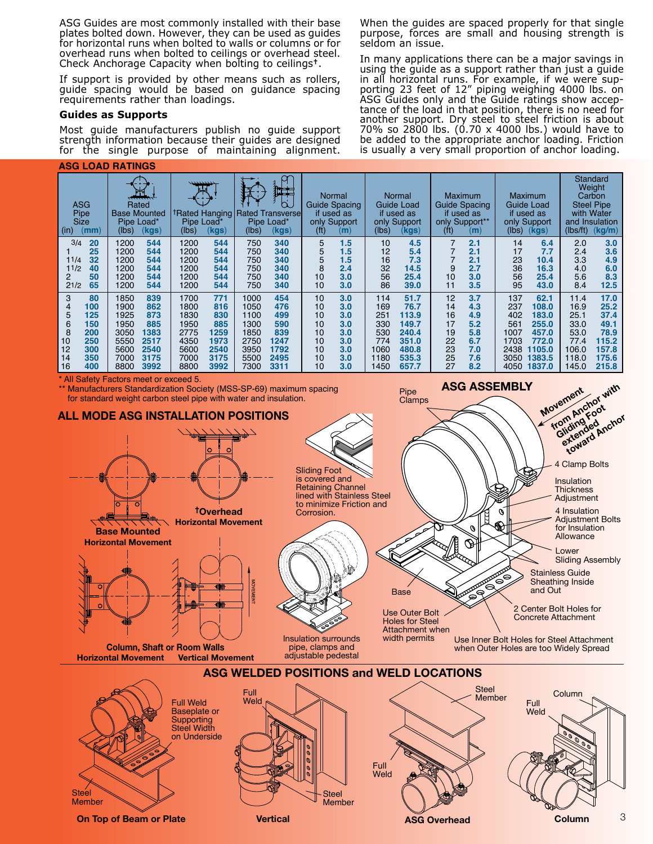ASG Guides are most commonly installed with their base plates bolted down. However, they can be used as guides for horizontal runs when bolted to walls or columns or for overhead runs when bolted to ceilings or overhead steel. Check Anchorage Capacity when bolting to ceilings**†**.

If support is provided by other means such as rollers, guide spacing would be based on guidance spacing requirements rather than loadings.

#### **Guides as Supports**

Most guide manufacturers publish no guide support strength information because their guides are designed for the single purpose of maintaining alignment.

#### **ASG LOAD RATINGS**

When the guides are spaced properly for that single purpose, forces are small and housing strength is seldom an issue.

In many applications there can be a major savings in using the guide as a support rather than just a guide in all horizontal runs. For example, if we were supporting 23 feet of 12" piping weighing 4000 lbs. on ASG Guides only and the Guide ratings show acceptance of the load in that position, there is no need for another support. Dry steel to steel friction is about 70% so 2800 lbs. (0.70 x 4000 lbs.) would have to be added to the appropriate anchor loading. Friction is usually a very small proportion of anchor loading.

**ASG ASSEMBLY**

| <b>ASG</b><br>Pipe<br>Size<br>(mm)<br>(in) |     | Rated<br><b>Base Mounted</b><br>Pipe Load*<br>(lbs)<br>(kgs) |      | ,,,,,,,,,,,<br><b>TRated Hanging</b><br>Pipe Load*<br>(kgs)<br>(lbs) |      | 独耳<br>d<br><b>Rated Transversel</b><br>Pipe Load*<br>(kgs)<br>(lbs) |      | <b>Normal</b><br>Guide Spacing<br>if used as<br>only Support<br>(f <sup>t</sup> )<br>(m) |     | Normal<br>Guide Load<br>if used as<br>only Support<br>(lbs)<br>(kgs) |       | <b>Maximum</b><br>Guide Spacing<br>if used as<br>only Support**<br>(f <sup>t</sup> )<br>(m) |     | <b>Maximum</b><br>Guide Load<br>if used as<br>only Support<br>(lbs)<br>(kgs) |             | Standard<br>Weight<br>Carbon<br><b>Steel Pipe</b><br>with Water<br>and Insulation<br>(Ibs/ft)<br>(kg/m) |       |
|--------------------------------------------|-----|--------------------------------------------------------------|------|----------------------------------------------------------------------|------|---------------------------------------------------------------------|------|------------------------------------------------------------------------------------------|-----|----------------------------------------------------------------------|-------|---------------------------------------------------------------------------------------------|-----|------------------------------------------------------------------------------|-------------|---------------------------------------------------------------------------------------------------------|-------|
| 3/4                                        | 20  | 1200                                                         | 544  | 1200                                                                 | 544  | 750                                                                 | 340  | 5                                                                                        | 1.5 | 10                                                                   | 4.5   | 7                                                                                           | 2.1 | 14                                                                           | 6.4         | 2.0                                                                                                     | 3.0   |
|                                            | 25  | 1200                                                         | 544  | 1200                                                                 | 544  | 750                                                                 | 340  | 5                                                                                        | 1.5 | 12                                                                   | 5.4   |                                                                                             | 2.1 | 17                                                                           | 7.7         | 2.4                                                                                                     | 3.6   |
| 11/4                                       | 32  | 1200                                                         | 544  | 1200                                                                 | 544  | 750                                                                 | 340  | 5                                                                                        | 1.5 | 16                                                                   | 7.3   |                                                                                             | 2.1 | 23                                                                           | 10.4        | 3.3                                                                                                     | 4.9   |
| 11/2                                       | 40  | 1200                                                         | 544  | 1200                                                                 | 544  | 750                                                                 | 340  | 8                                                                                        | 2.4 | 32                                                                   | 14.5  | 9                                                                                           | 2.7 | 36                                                                           | 16.3        | 4.0                                                                                                     | 6.0   |
| 2                                          | 50  | 1200                                                         | 544  | 1200                                                                 | 544  | 750                                                                 | 340  | 10                                                                                       | 3.0 | 56                                                                   | 25.4  | 10                                                                                          | 3.0 | 56                                                                           | 25.4        | 5.6                                                                                                     | 8.3   |
| 21/2                                       | 65  | 1200                                                         | 544  | 1200                                                                 | 544  | 750                                                                 | 340  | 10                                                                                       | 3.0 | 86                                                                   | 39.0  | 11                                                                                          | 3.5 | 95                                                                           | 43.0        | 8.4                                                                                                     | 12.5  |
| 3                                          | 80  | 1850                                                         | 839  | 1700                                                                 | 771  | 1000                                                                | 454  | 10                                                                                       | 3.0 | 114                                                                  | 51.7  | 12                                                                                          | 3.7 | 137                                                                          | 62.1        | 11.4                                                                                                    | 17.0  |
| 4                                          | 100 | 1900                                                         | 862  | 1800                                                                 | 816  | 1050                                                                | 476  | 10                                                                                       | 3.0 | 169                                                                  | 76.7  | 14                                                                                          | 4.3 | 237                                                                          | 108.0       | 16.9                                                                                                    | 25.2  |
| 5                                          | 125 | 1925                                                         | 873  | 1830                                                                 | 830  | 1100                                                                | 499  | 10                                                                                       | 3.0 | 251                                                                  | 113.9 | 16                                                                                          | 4.9 | 402                                                                          | 183.0       | 25.1                                                                                                    | 37.4  |
| 6                                          | 150 | 1950                                                         | 885  | 1950                                                                 | 885  | 1300                                                                | 590  | 10                                                                                       | 3.0 | 330                                                                  | 149.7 | 17                                                                                          | 5.2 | 561                                                                          | 255.0       | 33.0                                                                                                    | 49.1  |
| 8                                          | 200 | 3050                                                         | 1383 | 2775                                                                 | 1259 | 1850                                                                | 839  | 10                                                                                       | 3.0 | 530                                                                  | 240.4 | 19                                                                                          | 5.8 | 1007                                                                         | 457.0       | 53.0                                                                                                    | 78.9  |
| 10                                         | 250 | 5550                                                         | 2517 | 4350                                                                 | 1973 | 2750                                                                | 1247 | 10                                                                                       | 3.0 | 774                                                                  | 351.0 | 22                                                                                          | 6.7 | 1703                                                                         | 772.0       | 77.4                                                                                                    | 115.2 |
| 12                                         | 300 | 5600                                                         | 2540 | 5600                                                                 | 2540 | 3950                                                                | 1792 | 10                                                                                       | 3.0 | 1060                                                                 | 480.8 | 23                                                                                          | 7.0 | 2438                                                                         | 1105.0      | 106.0                                                                                                   | 157.8 |
| 14                                         | 350 | 7000                                                         | 3175 | 7000                                                                 | 3175 | 5500                                                                | 2495 | 10                                                                                       | 3.0 | 1180                                                                 | 535.3 | 25                                                                                          | 7.6 | 3050                                                                         | 1383.5      | 118.0                                                                                                   | 175.6 |
| 16                                         | 400 | 8800                                                         | 3992 | 8800                                                                 | 3992 | 7300                                                                | 3311 | 10                                                                                       | 3.0 | 1450                                                                 | 657.7 | 27                                                                                          | 8.2 |                                                                              | 4050 1837.0 | 145.0                                                                                                   | 215.8 |

Pipe

\* All Safety Factors meet or exceed 5.

\*\* Manufacturers Standardization Society (MSS-SP-69) maximum spacing for standard weight carbon steel pipe with water and insulation.



Steel Member

**On Top of Beam or Plate Vertical ASG Overhead Column**

**Steel Member** 

3